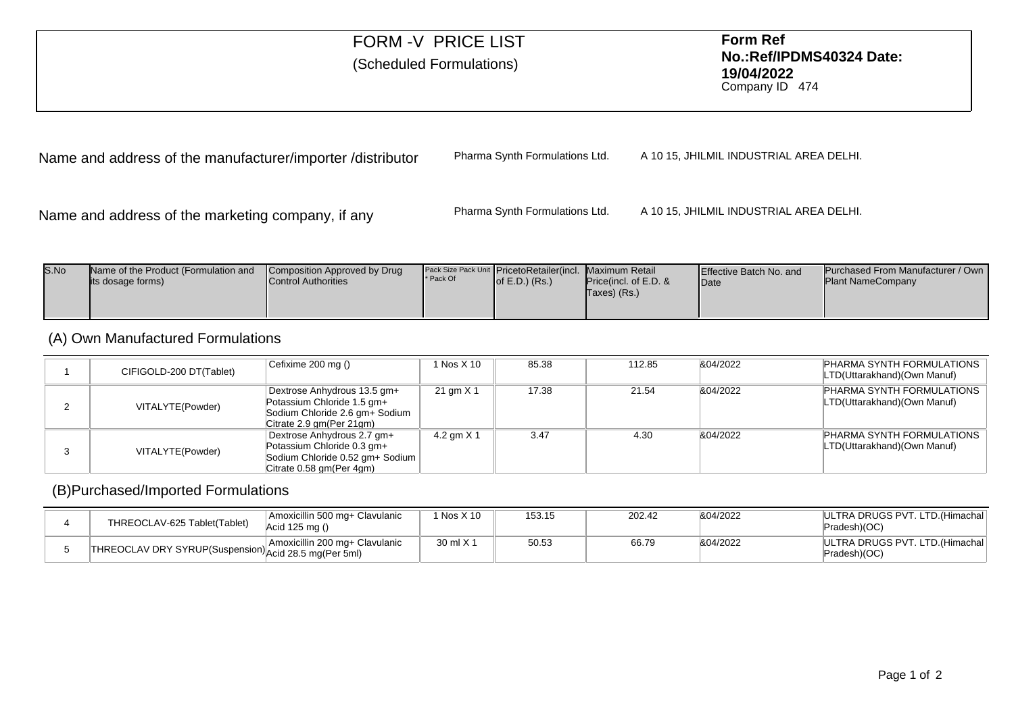## FORM -V PRICE LIST **Form Ref No.:Ref/IPDMS40324 Date:19/04/2022** (Scheduled Formulations) Company ID <sup>474</sup> Name and address of the manufacturer/importer /distributorPharma Synth Formulations Ltd.A 10 15, JHILMIL INDUSTRIAL AREA DELHI.

Name and address of the marketing company, if any

Pharma Synth Formulations Ltd.A 10 15, JHILMIL INDUSTRIAL AREA DELHI.

| S.No | Name of the Product (Formulation and<br>lits dosage forms) | Composition Approved by Drug<br><b>Control Authorities</b> | * Pack Of | Pack Size Pack Unit PricetoRetailer(incl. Maximum Retail<br>of $E.D.$ ) $(Rs.)$ | <b>Price (incl. of E.D. &amp;</b><br>Taxes) (Rs.) | <b>Effective Batch No. and</b><br><b>IDate</b> | <b>Purchased From Manufacturer / Own I</b><br><b>Plant NameCompany</b> |
|------|------------------------------------------------------------|------------------------------------------------------------|-----------|---------------------------------------------------------------------------------|---------------------------------------------------|------------------------------------------------|------------------------------------------------------------------------|
|------|------------------------------------------------------------|------------------------------------------------------------|-----------|---------------------------------------------------------------------------------|---------------------------------------------------|------------------------------------------------|------------------------------------------------------------------------|

## (A) Own Manufactured Formulations

| CIFIGOLD-200 DT(Tablet) | Cefixime 200 mg ()                                                                                                       | 1 Nos X 10   | 85.38 | 112.85 | &04/2022 | PHARMA SYNTH FORMULATIONS<br>LTD(Uttarakhand)(Own Manuf)        |
|-------------------------|--------------------------------------------------------------------------------------------------------------------------|--------------|-------|--------|----------|-----------------------------------------------------------------|
| VITALYTE(Powder)        | Dextrose Anhydrous 13.5 gm+<br>Potassium Chloride 1.5 gm+<br>Sodium Chloride 2.6 gm+ Sodium<br>Citrate 2.9 gm(Per 21gm)  | 21 gm X 1    | 17.38 | 21.54  | &04/2022 | <b>PHARMA SYNTH FORMULATIONS</b><br>LTD(Uttarakhand)(Own Manuf) |
| VITALYTE(Powder)        | Dextrose Anhydrous 2.7 gm+<br>Potassium Chloride 0.3 gm+<br>Sodium Chloride 0.52 gm+ Sodium<br>Citrate 0.58 gm (Per 4gm) | 4.2 gm $X$ 1 | 3.47  | 4.30   | &04/2022 | <b>PHARMA SYNTH FORMULATIONS</b><br>LTD(Uttarakhand)(Own Manuf) |

## (B)Purchased/Imported Formulations

| THREOCLAV-625 Tablet(Tablet)              | Amoxicillin 500 mg+ Clavulanic<br>Acid 125 mg () | Nos X 10  | 153.15 | 202.42 | &04/2022 | ULTRA DRUGS PVT, LTD. (Himachal<br>Pradesh)(OC)  |
|-------------------------------------------|--------------------------------------------------|-----------|--------|--------|----------|--------------------------------------------------|
| ل struP(Suspension) Acid 28.5 mg(Per 5ml) | Amoxicillin 200 mg+ Clavulanic                   | 30 ml X 1 | 50.53  | 66.79  | &04/2022 | IULTRA DRUGS PVT. LTD. (Himachal<br>Pradesh)(OC) |